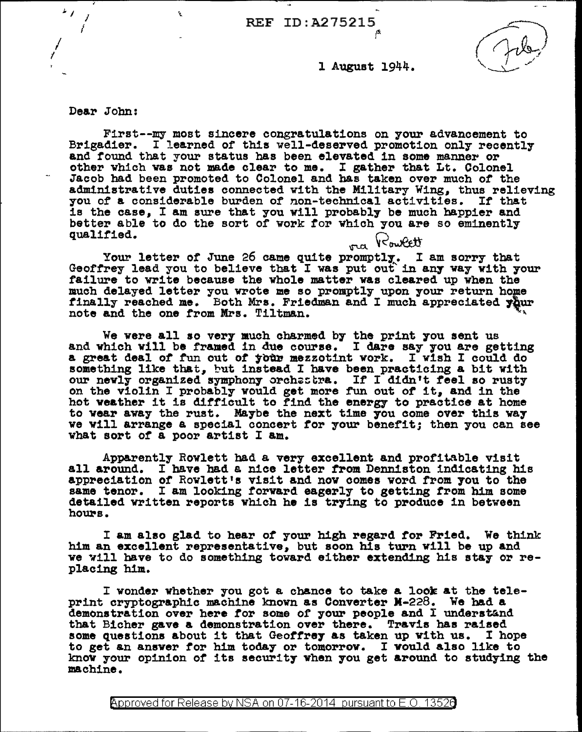$\sqrt{10}$  REF ID:A275215

l August 1944.

De&r John:

I I

 $'$  I,

First--my most sincere congratulations on your advancement to<br>Brigadier. I learned of this well-deserved promotion only recently and found that your status has been elevated in some manner or other which was not made clear to me. I gather that Lt. Colonel Jacob bad been promoted to Colonel and bas taken over much of the administrative duties connected with the Military Wing, thus relieving you of a considerable burden of non-technical activities. If that is the case, I am sure that you will probably be much happier and better able to do the sort of work for which you are so eminently qualified.  $\frac{1}{\sqrt{U}}\sqrt{U_{\text{c}}\sqrt{U_{\text{c}}}}$ 

Your letter of June 26 came quite promptly. I am sorry that Geoffrey lead you to believe that I was put out in any way with your failure to write because the whole matter was cleared up when the failure to write because the whole matter was cleared up when the much delayed letter you wrote me so promptly upon your return home finally reached me. Both Mrs. Friedman and I much appreciated your note and the one from Mrs. Tiltman.

We were all so very much charmed by the print you sent us and which will be framed in due eourae. I dare say you are getting a great deal of fun out of your mezzotint work. I wish I could do something like that, but instead I have been practicing a bit with our nevly organized symphony orchestra. If I didn't feel so rusty on the violin I probably would get more fun out of it, and in the hot weather it is difficult to find the energy- to practice at home to wear away the rust. Maybe the next time you come over this way we Yill arrange a special concert for your benefit; then you can see what sort or a poor artist I am.

Apparently Rowlett had a very excellent and profitable visit all around. I have had a nice letter from Denniston indicating his appreciation of Rowlett•s visit and nov comes word from 7ou to the same tenor. I am looking forward eagerly to getting trom him some detailed written reports which he is trying to produce in between hours.

I am also glad to hear of your high regard for Fried. We think him an excellent representative, but soon his turn will be up and ve will have to do something toward either extending his stay or replacing him.

I wonder whether you got a chance to take a look at the teleprint cryptographic machine known as Converter M-228. We had a demonstration over here for some of your people and I understand that Bicher gave a demonstration over there. Travis has raised some questions about it that Geoffrey as taken up with us. I hope to get an answer for him today or tomorrow. I would also like to know your opinion of its security when you get around to studying the machine.